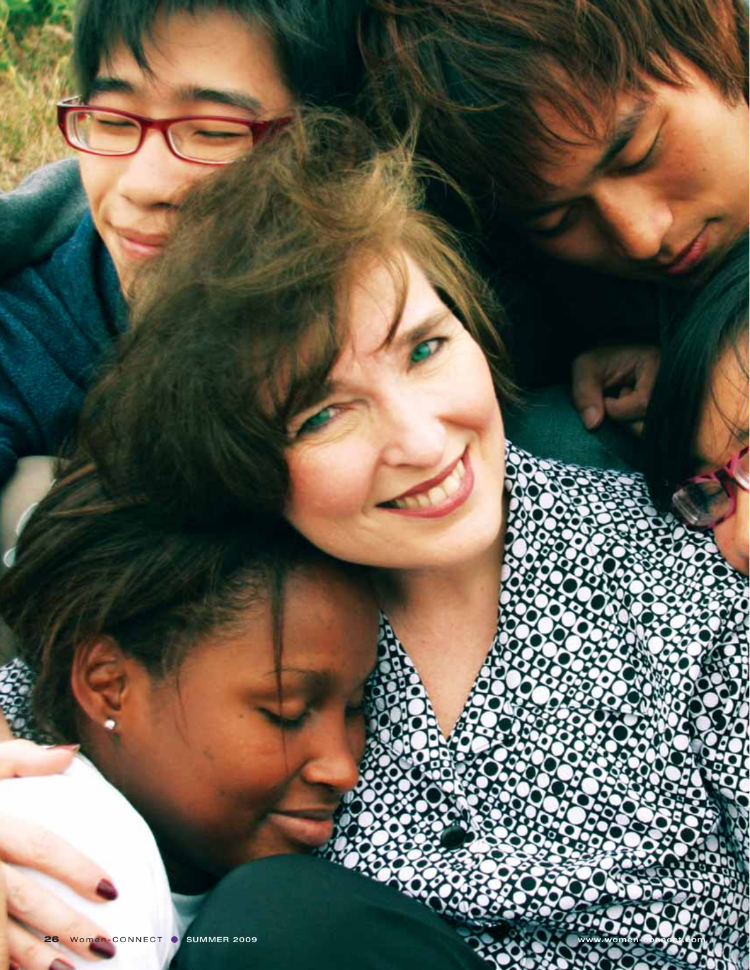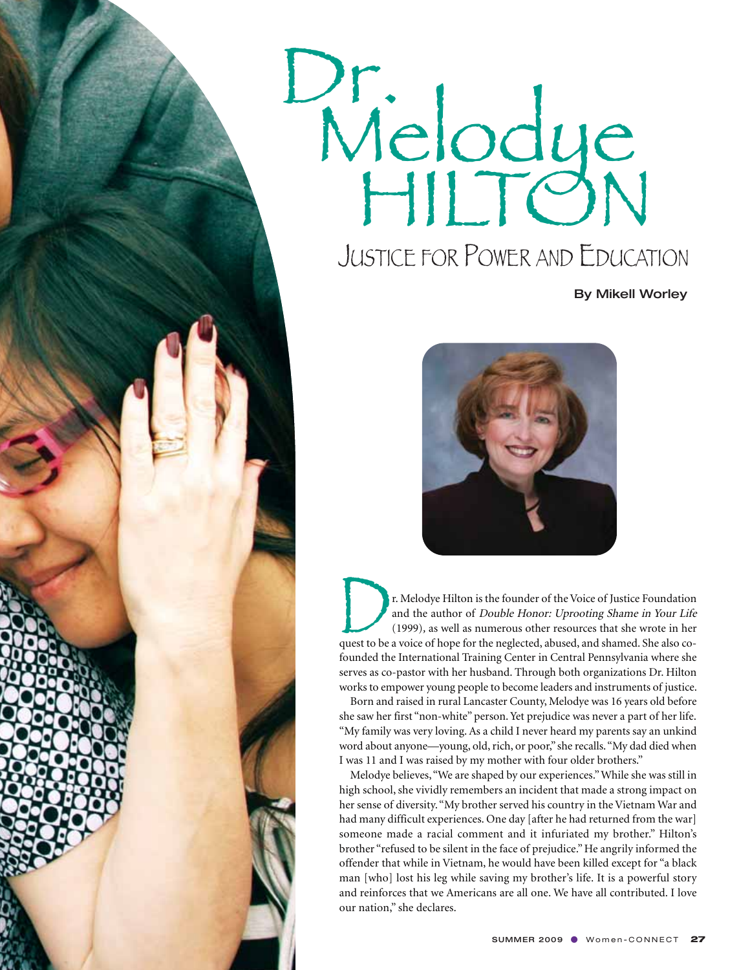

## By Mikell Worley



r. Melodye Hilton is the founder of the Voice of Justice Foundation and the author of Double Honor: Uprooting Shame in Your Life (1999), as well as numerous other resources that she wrote in her quest to be a voice of hope for the neglected, abused, and shamed. She also cofounded the International Training Center in Central Pennsylvania where she serves as co-pastor with her husband. Through both organizations Dr. Hilton works to empower young people to become leaders and instruments of justice.

Born and raised in rural Lancaster County, Melodye was 16 years old before she saw her first "non-white" person. Yet prejudice was never a part of her life. "My family was very loving. As a child I never heard my parents say an unkind word about anyone—young, old, rich, or poor," she recalls. "My dad died when I was 11 and I was raised by my mother with four older brothers."

Melodye believes, "We are shaped by our experiences." While she was still in high school, she vividly remembers an incident that made a strong impact on her sense of diversity. "My brother served his country in the Vietnam War and had many difficult experiences. One day [after he had returned from the war] someone made a racial comment and it infuriated my brother." Hilton's brother "refused to be silent in the face of prejudice." He angrily informed the offender that while in Vietnam, he would have been killed except for "a black man [who] lost his leg while saving my brother's life. It is a powerful story and reinforces that we Americans are all one. We have all contributed. I love our nation," she declares.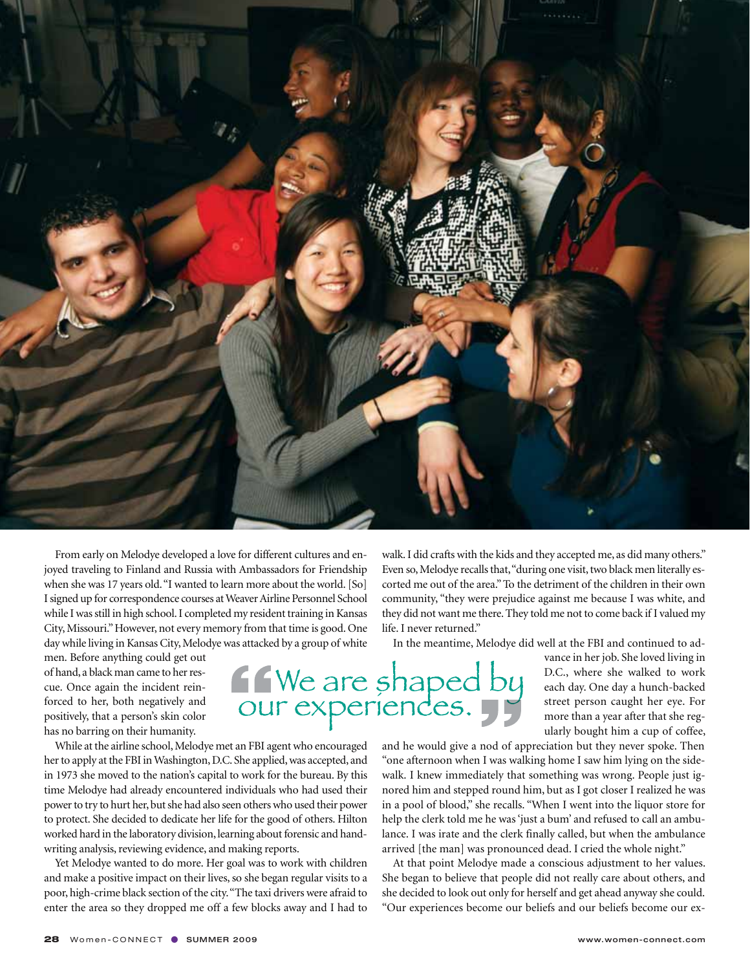

From early on Melodye developed a love for different cultures and enjoyed traveling to Finland and Russia with Ambassadors for Friendship when she was 17 years old. "I wanted to learn more about the world. [So] I signed up for correspondence courses at Weaver Airline Personnel School while I was still in high school. I completed my resident training in Kansas City, Missouri." However, not every memory from that time is good. One day while living in Kansas City, Melodye was attacked by a group of white

men. Before anything could get out of hand, a black man came to her rescue. Once again the incident reinforced to her, both negatively and positively, that a person's skin color has no barring on their humanity.

While at the airline school, Melodye met an FBI agent who encouraged her to apply at the FBI in Washington, D.C. She applied, was accepted, and in 1973 she moved to the nation's capital to work for the bureau. By this time Melodye had already encountered individuals who had used their power to try to hurt her, but she had also seen others who used their power to protect. She decided to dedicate her life for the good of others. Hilton worked hard in the laboratory division, learning about forensic and handwriting analysis, reviewing evidence, and making reports.

Yet Melodye wanted to do more. Her goal was to work with children and make a positive impact on their lives, so she began regular visits to a poor, high-crime black section of the city. "The taxi drivers were afraid to enter the area so they dropped me off a few blocks away and I had to walk. I did crafts with the kids and they accepted me, as did many others." Even so, Melodye recalls that, "during one visit, two black men literally escorted me out of the area." To the detriment of the children in their own community, "they were prejudice against me because I was white, and they did not want me there. They told me not to come back if I valued my life. I never returned."

In the meantime, Melodye did well at the FBI and continued to ad-

We are shaped by our experiences.

vance in her job. She loved living in D.C., where she walked to work each day. One day a hunch-backed street person caught her eye. For more than a year after that she regularly bought him a cup of coffee,

and he would give a nod of appreciation but they never spoke. Then "one afternoon when I was walking home I saw him lying on the sidewalk. I knew immediately that something was wrong. People just ignored him and stepped round him, but as I got closer I realized he was in a pool of blood," she recalls. "When I went into the liquor store for help the clerk told me he was 'just a bum' and refused to call an ambulance. I was irate and the clerk finally called, but when the ambulance arrived [the man] was pronounced dead. I cried the whole night."

At that point Melodye made a conscious adjustment to her values. She began to believe that people did not really care about others, and she decided to look out only for herself and get ahead anyway she could. "Our experiences become our beliefs and our beliefs become our ex